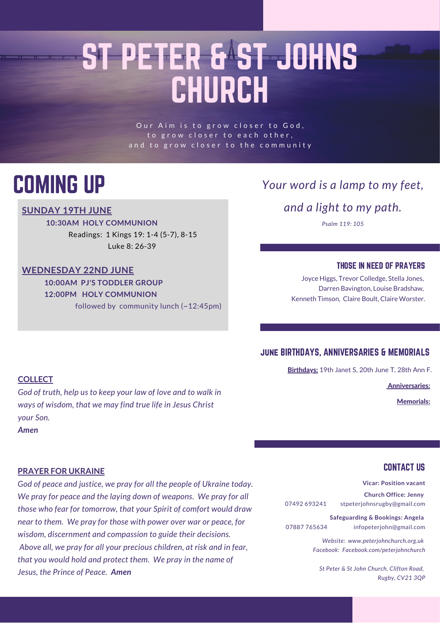# ST PETER & ST JOHNS CHURCH

Our Aim is to grow closer to God, to grow closer to each other, and to grow closer to the community

### COMING UP

#### **SUNDAY 19TH JUNE**

**10:30AM HOLY COMMUNION**

Readings: 1 Kings 19: 1-4 (5-7), 8-15 Luke 8: 26-39

#### **WEDNESDAY 22ND JUNE**

**10:00AM PJ'S TODDLER GROUP 12:00PM HOLY COMMUNION** followed by community lunch (~12:45pm)

#### *Your word is a lamp to my feet,*

*and a light to my path.*

*Psalm 119: 105*

#### THOSE IN NEED OF PRAYERS

Joyce Higgs, Trevor Colledge, Stella Jones, Darren Bavington, Louise Bradshaw, Kenneth Timson, Claire Boult, Claire Worster.

#### june BIRTHDAYS, ANNIVERSARIES & MEMORIALS

Birthdays: 19th Janet S, 20th June T, 28th Ann F.

Anniversaries:

Memorials:

#### **COLLECT**

*God of truth, help us to keep your law of love and to walk in ways of wisdom, that we may find true life in Jesus Christ your Son.*

*Amen*

#### **PRAYER FOR UKRAINE**

*God of peace and justice, we pray for all the people of Ukraine today. We pray for peace and the laying down of weapons. We pray for all those who fear for tomorrow, that your Spirit of comfort would draw near to them. We pray for those with power over war or peace, for wisdom, discernment and compassion to guide their decisions. Above all, we pray for all your precious children, at risk and in fear, that you would hold and protect them. We pray in the name of Jesus, the Prince of Peace. Amen*

#### CONTACT US

**Vicar: Position vacant Church Office: Jenny**

07492 693241 stpeterjohnsrugby@gmail.com

**Safeguarding & Bookings: Angela** 07887 765634 infopeterjohn@gmail.com

> *Website: www.peterjohnchurch.org.uk Facebook: Facebook.com/peterjohnchurch*

*St Peter & St John Church, Clifton Road, Rugby, CV21 3QP*